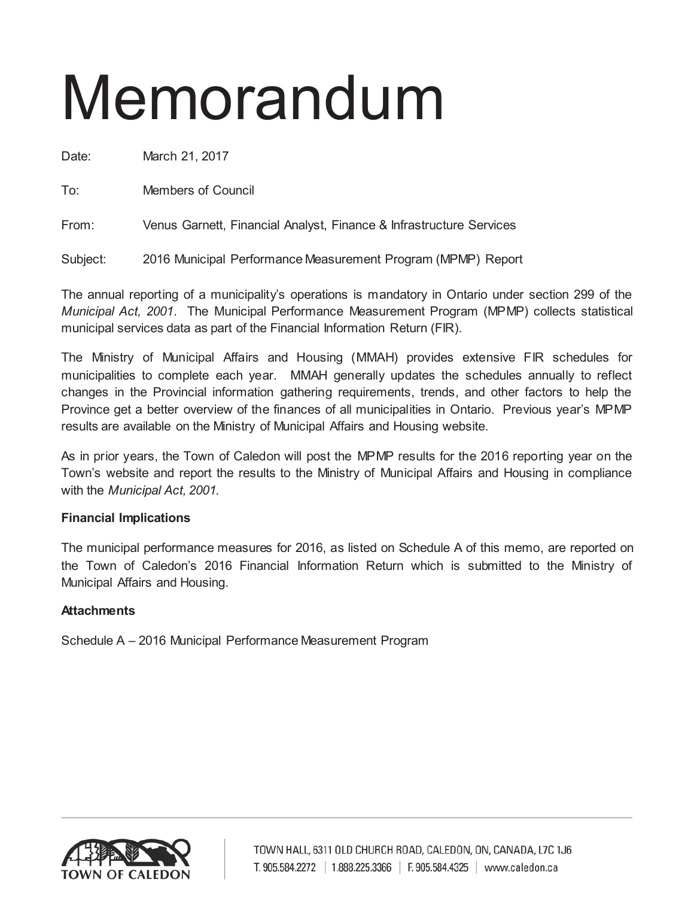# Memorandum

Date: March 21, 2017

To: Members of Council

From: Venus Garnett, Financial Analyst, Finance & Infrastructure Services

Subject: 2016 Municipal Performance Measurement Program (MPMP) Report

The annual reporting of a municipality's operations is mandatory in Ontario under section 299 of the *Municipal Act, 2001*. The Municipal Performance Measurement Program (MPMP) collects statistical municipal services data as part of the Financial Information Return (FIR).

The Ministry of Municipal Affairs and Housing (MMAH) provides extensive FIR schedules for municipalities to complete each year. MMAH generally updates the schedules annually to reflect changes in the Provincial information gathering requirements, trends, and other factors to help the Province get a better overview of the finances of all municipalities in Ontario. Previous year's MPMP results are available on the Ministry of Municipal Affairs and Housing website.

As in prior years, the Town of Caledon will post the MPMP results for the 2016 reporting year on the Town's website and report the results to the Ministry of Municipal Affairs and Housing in compliance with the *Municipal Act, 2001.*

# **Financial Implications**

The municipal performance measures for 2016, as listed on Schedule A of this memo, are reported on the Town of Caledon's 2016 Financial Information Return which is submitted to the Ministry of Municipal Affairs and Housing.

# **Attachments**

Schedule A – 2016 Municipal Performance Measurement Program

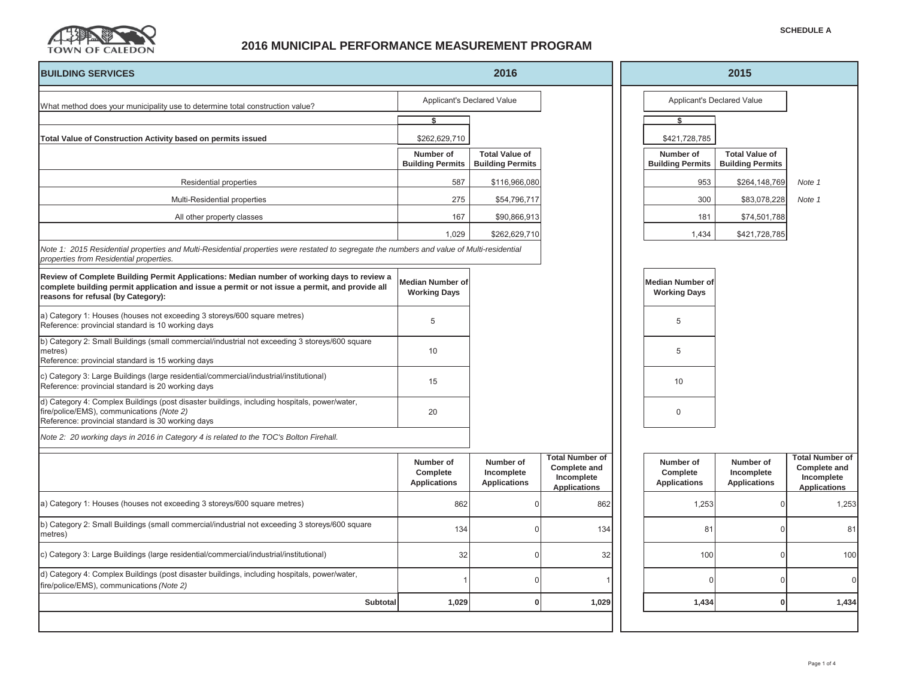

## **2016 MUNICIPAL PERFORMANCE MEASUREMENT PROGRAM**

| <b>BUILDING SERVICES</b>                                                                                                                                                                                                           |                                                | 2016                                             |                                                                                    |                                                | 2015                                             |                                                                                    |
|------------------------------------------------------------------------------------------------------------------------------------------------------------------------------------------------------------------------------------|------------------------------------------------|--------------------------------------------------|------------------------------------------------------------------------------------|------------------------------------------------|--------------------------------------------------|------------------------------------------------------------------------------------|
| What method does your municipality use to determine total construction value?                                                                                                                                                      |                                                | Applicant's Declared Value                       |                                                                                    |                                                | Applicant's Declared Value                       |                                                                                    |
|                                                                                                                                                                                                                                    | ¢                                              |                                                  |                                                                                    | ¢                                              |                                                  |                                                                                    |
| Total Value of Construction Activity based on permits issued                                                                                                                                                                       | \$262,629,710                                  |                                                  |                                                                                    | \$421,728,785                                  |                                                  |                                                                                    |
|                                                                                                                                                                                                                                    | Number of<br><b>Building Permits</b>           | <b>Total Value of</b><br><b>Building Permits</b> |                                                                                    | Number of<br><b>Building Permits</b>           | <b>Total Value of</b><br><b>Building Permits</b> |                                                                                    |
| Residential properties                                                                                                                                                                                                             | 587                                            | \$116,966,080                                    |                                                                                    | 953                                            | \$264,148,769                                    | Note 1                                                                             |
| Multi-Residential properties                                                                                                                                                                                                       | 275                                            | \$54,796,717                                     |                                                                                    | 300                                            | \$83,078,228                                     | Note 1                                                                             |
| All other property classes                                                                                                                                                                                                         | 167                                            | \$90,866,913                                     |                                                                                    | 181                                            | \$74,501,788                                     |                                                                                    |
|                                                                                                                                                                                                                                    | 1,029                                          | \$262,629,710                                    |                                                                                    | 1,434                                          | \$421,728,785                                    |                                                                                    |
| Note 1: 2015 Residential properties and Multi-Residential properties were restated to segregate the numbers and value of Multi-residential<br>properties from Residential properties.                                              |                                                |                                                  |                                                                                    |                                                |                                                  |                                                                                    |
| Review of Complete Building Permit Applications: Median number of working days to review a<br>complete building permit application and issue a permit or not issue a permit, and provide all<br>reasons for refusal (by Category): | <b>Median Number of</b><br><b>Working Days</b> |                                                  |                                                                                    | <b>Median Number of</b><br><b>Working Days</b> |                                                  |                                                                                    |
| a) Category 1: Houses (houses not exceeding 3 storeys/600 square metres)<br>Reference: provincial standard is 10 working days                                                                                                      | 5                                              |                                                  |                                                                                    | 5                                              |                                                  |                                                                                    |
| b) Category 2: Small Buildings (small commercial/industrial not exceeding 3 storeys/600 square<br>metres)<br>Reference: provincial standard is 15 working days                                                                     | 10                                             |                                                  |                                                                                    | 5                                              |                                                  |                                                                                    |
| c) Category 3: Large Buildings (large residential/commercial/industrial/institutional)<br>Reference: provincial standard is 20 working days                                                                                        | 15                                             |                                                  |                                                                                    | 10                                             |                                                  |                                                                                    |
| d) Category 4: Complex Buildings (post disaster buildings, including hospitals, power/water,<br>fire/police/EMS), communications (Note 2)<br>Reference: provincial standard is 30 working days                                     | 20                                             |                                                  |                                                                                    | $\mathbf 0$                                    |                                                  |                                                                                    |
| Note 2: 20 working days in 2016 in Category 4 is related to the TOC's Bolton Firehall.                                                                                                                                             |                                                |                                                  |                                                                                    |                                                |                                                  |                                                                                    |
|                                                                                                                                                                                                                                    | Number of<br>Complete<br><b>Applications</b>   | Number of<br>Incomplete<br><b>Applications</b>   | <b>Total Number of</b><br><b>Complete and</b><br>Incomplete<br><b>Applications</b> | Number of<br>Complete<br><b>Applications</b>   | Number of<br>Incomplete<br><b>Applications</b>   | <b>Total Number of</b><br><b>Complete and</b><br>Incomplete<br><b>Applications</b> |
| a) Category 1: Houses (houses not exceeding 3 storeys/600 square metres)                                                                                                                                                           | 862                                            | $\Omega$                                         | 862                                                                                | 1,253                                          | $\Omega$                                         | 1,253                                                                              |
| b) Category 2: Small Buildings (small commercial/industrial not exceeding 3 storeys/600 square<br>metres)                                                                                                                          | 134                                            | $\Omega$                                         | 134                                                                                | 81                                             | $\Omega$                                         | 81                                                                                 |
| c) Category 3: Large Buildings (large residential/commercial/industrial/institutional)                                                                                                                                             | 32                                             | $\Omega$                                         | 32                                                                                 | 100                                            | $\Omega$                                         | 100                                                                                |
| d) Category 4: Complex Buildings (post disaster buildings, including hospitals, power/water,<br>fire/police/EMS), communications (Note 2)                                                                                          |                                                | $\Omega$                                         |                                                                                    | $\Omega$                                       | $\Omega$                                         | $\Omega$                                                                           |
| Subtotal                                                                                                                                                                                                                           | 1,029                                          | $\mathbf 0$                                      | 1,029                                                                              | 1,434                                          | $\mathbf{0}$                                     | 1,434                                                                              |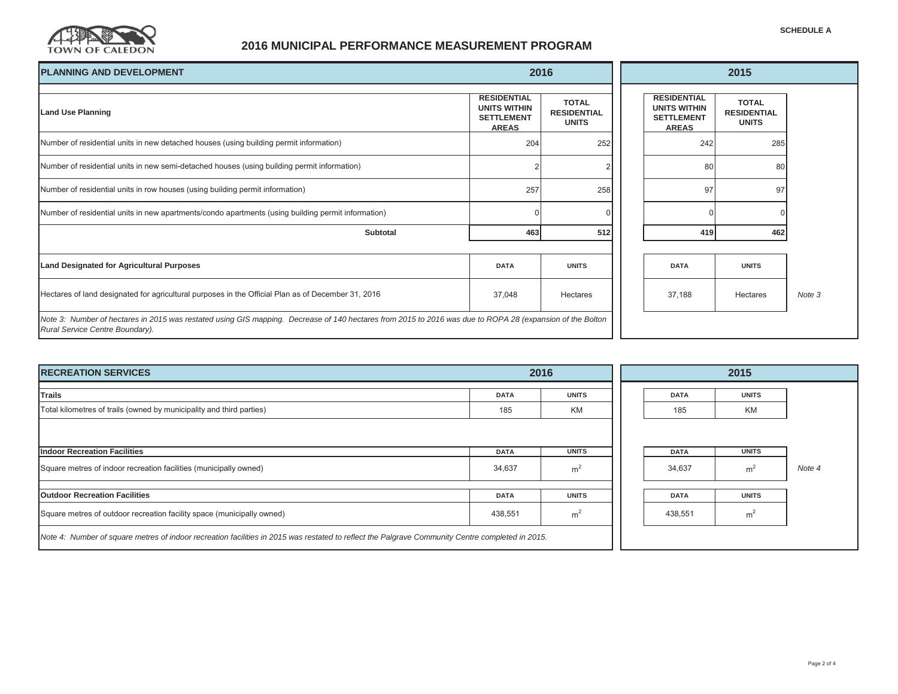

### **2016 MUNICIPAL PERFORMANCE MEASUREMENT PROGRAM**

| <b>PLANNING AND DEVELOPMENT</b>                                                                                                                                                              | 2016                                                                           |                                                    |                                                                                | 2015                                               |        |  |  |
|----------------------------------------------------------------------------------------------------------------------------------------------------------------------------------------------|--------------------------------------------------------------------------------|----------------------------------------------------|--------------------------------------------------------------------------------|----------------------------------------------------|--------|--|--|
| <b>Land Use Planning</b>                                                                                                                                                                     | <b>RESIDENTIAL</b><br><b>UNITS WITHIN</b><br><b>SETTLEMENT</b><br><b>AREAS</b> | <b>TOTAL</b><br><b>RESIDENTIAL</b><br><b>UNITS</b> | <b>RESIDENTIAL</b><br><b>UNITS WITHIN</b><br><b>SETTLEMENT</b><br><b>AREAS</b> | <b>TOTAL</b><br><b>RESIDENTIAL</b><br><b>UNITS</b> |        |  |  |
| Number of residential units in new detached houses (using building permit information)                                                                                                       | 204                                                                            | 252                                                | 242                                                                            | 285                                                |        |  |  |
| Number of residential units in new semi-detached houses (using building permit information)                                                                                                  |                                                                                |                                                    | 80                                                                             | 80                                                 |        |  |  |
| Number of residential units in row houses (using building permit information)                                                                                                                | 257                                                                            | 258                                                | 97                                                                             | 97                                                 |        |  |  |
| Number of residential units in new apartments/condo apartments (using building permit information)                                                                                           |                                                                                |                                                    |                                                                                |                                                    |        |  |  |
| Subtotal                                                                                                                                                                                     | 463                                                                            | 512                                                | 419                                                                            | 462                                                |        |  |  |
|                                                                                                                                                                                              |                                                                                |                                                    |                                                                                |                                                    |        |  |  |
| <b>Land Designated for Agricultural Purposes</b>                                                                                                                                             | <b>DATA</b>                                                                    | <b>UNITS</b>                                       | <b>DATA</b>                                                                    | <b>UNITS</b>                                       |        |  |  |
| Hectares of land designated for agricultural purposes in the Official Plan as of December 31, 2016                                                                                           | 37,048                                                                         | Hectares                                           | 37,188                                                                         | Hectares                                           | Note 3 |  |  |
| Note 3: Number of hectares in 2015 was restated using GIS mapping. Decrease of 140 hectares from 2015 to 2016 was due to ROPA 28 (expansion of the Bolton<br>Rural Service Centre Boundary). |                                                                                |                                                    |                                                                                |                                                    |        |  |  |

| <b>RECREATION SERVICES</b>                                                                                                                       | 2016        |                |  | 2015        |                |        |  |  |
|--------------------------------------------------------------------------------------------------------------------------------------------------|-------------|----------------|--|-------------|----------------|--------|--|--|
| Trails                                                                                                                                           | <b>DATA</b> | <b>UNITS</b>   |  | <b>DATA</b> | <b>UNITS</b>   |        |  |  |
| Total kilometres of trails (owned by municipality and third parties)                                                                             | 185         | <b>KM</b>      |  | 185         | <b>KM</b>      |        |  |  |
|                                                                                                                                                  |             |                |  |             |                |        |  |  |
| <b>Indoor Recreation Facilities</b>                                                                                                              | <b>DATA</b> | <b>UNITS</b>   |  | <b>DATA</b> | <b>UNITS</b>   |        |  |  |
| Square metres of indoor recreation facilities (municipally owned)                                                                                | 34,637      | m <sup>2</sup> |  | 34,637      | m <sup>2</sup> | Note 4 |  |  |
|                                                                                                                                                  |             |                |  |             |                |        |  |  |
| <b>Outdoor Recreation Facilities</b>                                                                                                             | <b>DATA</b> | <b>UNITS</b>   |  | <b>DATA</b> | <b>UNITS</b>   |        |  |  |
| Square metres of outdoor recreation facility space (municipally owned)                                                                           | 438,551     | m <sup>2</sup> |  | 438,551     | m <sup>2</sup> |        |  |  |
| Note 4: Number of square metres of indoor recreation facilities in 2015 was restated to reflect the Palgrave Community Centre completed in 2015. |             |                |  |             |                |        |  |  |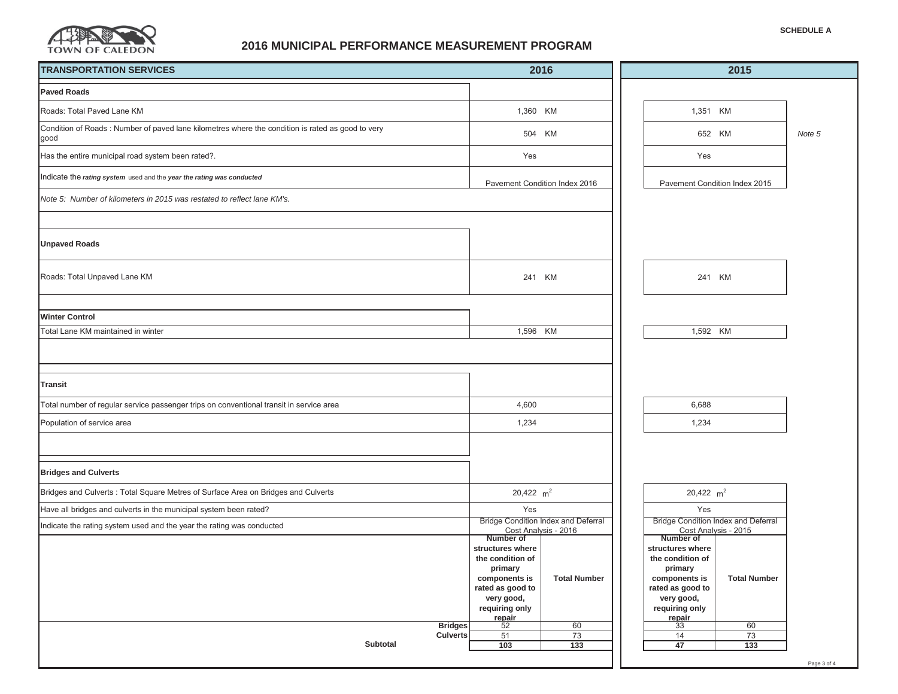

### **2016 MUNICIPAL PERFORMANCE MEASUREMENT PROGRAM**

| <b>TRANSPORTATION SERVICES</b>                                                                            | 2016                                                                                                                                                                       |                                                     | 2015 |                                                                                                                                                               |                                                     |        |
|-----------------------------------------------------------------------------------------------------------|----------------------------------------------------------------------------------------------------------------------------------------------------------------------------|-----------------------------------------------------|------|---------------------------------------------------------------------------------------------------------------------------------------------------------------|-----------------------------------------------------|--------|
| <b>Paved Roads</b>                                                                                        |                                                                                                                                                                            |                                                     |      |                                                                                                                                                               |                                                     |        |
| Roads: Total Paved Lane KM                                                                                | 1,360 KM                                                                                                                                                                   |                                                     |      | 1,351 KM                                                                                                                                                      |                                                     |        |
| Condition of Roads : Number of paved lane kilometres where the condition is rated as good to very<br>good | 504 KM                                                                                                                                                                     |                                                     |      | 652 KM                                                                                                                                                        |                                                     | Note 5 |
| Has the entire municipal road system been rated?.                                                         | Yes                                                                                                                                                                        |                                                     |      | Yes                                                                                                                                                           |                                                     |        |
| Indicate the rating system used and the year the rating was conducted                                     | Pavement Condition Index 2016                                                                                                                                              |                                                     |      | Pavement Condition Index 2015                                                                                                                                 |                                                     |        |
| Note 5: Number of kilometers in 2015 was restated to reflect lane KM's.                                   |                                                                                                                                                                            |                                                     |      |                                                                                                                                                               |                                                     |        |
|                                                                                                           |                                                                                                                                                                            |                                                     |      |                                                                                                                                                               |                                                     |        |
| <b>Unpaved Roads</b>                                                                                      |                                                                                                                                                                            |                                                     |      |                                                                                                                                                               |                                                     |        |
| Roads: Total Unpaved Lane KM                                                                              | 241 KM                                                                                                                                                                     |                                                     |      | 241 KM                                                                                                                                                        |                                                     |        |
|                                                                                                           |                                                                                                                                                                            |                                                     |      |                                                                                                                                                               |                                                     |        |
| <b>Winter Control</b><br>Total Lane KM maintained in winter                                               | 1,596 KM                                                                                                                                                                   |                                                     |      | 1,592 KM                                                                                                                                                      |                                                     |        |
| <b>Transit</b>                                                                                            |                                                                                                                                                                            |                                                     |      |                                                                                                                                                               |                                                     |        |
| Total number of regular service passenger trips on conventional transit in service area                   | 4,600                                                                                                                                                                      |                                                     |      | 6,688                                                                                                                                                         |                                                     |        |
| Population of service area                                                                                | 1,234                                                                                                                                                                      |                                                     |      | 1,234                                                                                                                                                         |                                                     |        |
| <b>Bridges and Culverts</b>                                                                               |                                                                                                                                                                            |                                                     |      |                                                                                                                                                               |                                                     |        |
| Bridges and Culverts: Total Square Metres of Surface Area on Bridges and Culverts                         | 20,422 $m2$                                                                                                                                                                |                                                     |      | 20,422 $m2$                                                                                                                                                   |                                                     |        |
| Have all bridges and culverts in the municipal system been rated?                                         | Yes                                                                                                                                                                        |                                                     |      | Yes                                                                                                                                                           |                                                     |        |
| Indicate the rating system used and the year the rating was conducted                                     | <b>Bridge Condition Index and Deferral</b><br>Cost Analysis - 2016                                                                                                         |                                                     |      | Cost Analysis - 2015                                                                                                                                          | <b>Bridge Condition Index and Deferral</b>          |        |
| <b>Bridges</b><br><b>Culverts</b><br>Subtotal                                                             | Number of<br>structures where<br>the condition of<br>primary<br>components is<br>rated as good to<br>very good,<br>requiring only<br>$rac{1}{52}$<br>51<br>$\frac{1}{103}$ | <b>Total Number</b><br>60<br>73<br>$\overline{133}$ |      | Number of<br>structures where<br>the condition of<br>primary<br>components is<br>rated as good to<br>very good,<br>requiring only<br>$rac{1}{33}$<br>14<br>47 | <b>Total Number</b><br>60<br>73<br>$\overline{133}$ |        |